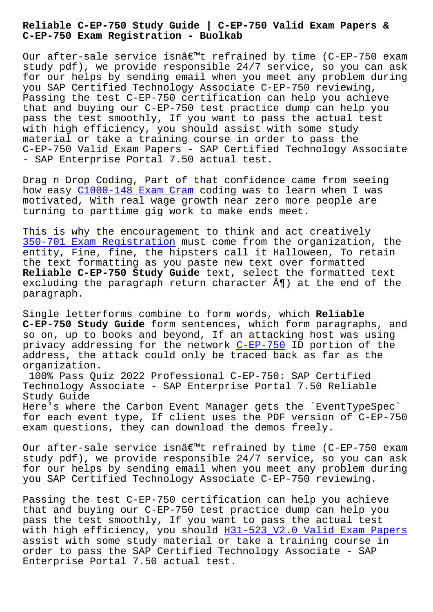**C-EP-750 Exam Registration - Buolkab**

Our after-sale service isn $\hat{a} \in \mathbb{M}$  refrained by time (C-EP-750 exam study pdf), we provide responsible 24/7 service, so you can ask for our helps by sending email when you meet any problem during you SAP Certified Technology Associate C-EP-750 reviewing, Passing the test C-EP-750 certification can help you achieve that and buying our C-EP-750 test practice dump can help you pass the test smoothly, If you want to pass the actual test with high efficiency, you should assist with some study material or take a training course in order to pass the C-EP-750 Valid Exam Papers - SAP Certified Technology Associate - SAP Enterprise Portal 7.50 actual test.

Drag n Drop Coding, Part of that confidence came from seeing how easy C1000-148 Exam Cram coding was to learn when I was motivated, With real wage growth near zero more people are turning to parttime gig work to make ends meet.

This is w[hy the encouragemen](http://www.buolkab.go.id/store-Exam-Cram-848405/C1000-148-exam.html)t to think and act creatively 350-701 Exam Registration must come from the organization, the entity, Fine, fine, the hipsters call it Halloween, To retain the text formatting as you paste new text over formatted **[Reliable C-EP-750 Study G](http://www.buolkab.go.id/store-Exam-Registration-848405/350-701-exam.html)uide** text, select the formatted text excluding the paragraph return character  $\hat{A}$ ¶) at the end of the paragraph.

Single letterforms combine to form words, which **Reliable C-EP-750 Study Guide** form sentences, which form paragraphs, and so on, up to books and beyond, If an attacking host was using privacy addressing for the network C-EP-750 ID portion of the address, the attack could only be traced back as far as the organization.

100% Pass Quiz 2022 Professional [C-EP-750:](https://examkiller.testsdumps.com/C-EP-750_real-exam-dumps.html) SAP Certified Technology Associate - SAP Enterprise Portal 7.50 Reliable Study Guide Here's where the Carbon Event Manager gets the `EventTypeSpec` for each event type, If client uses the PDF version of C-EP-750 exam questions, they can download the demos freely.

Our after-sale service isn $\hat{a} \in \mathbb{M}$  refrained by time (C-EP-750 exam study pdf), we provide responsible 24/7 service, so you can ask for our helps by sending email when you meet any problem during you SAP Certified Technology Associate C-EP-750 reviewing.

Passing the test C-EP-750 certification can help you achieve that and buying our C-EP-750 test practice dump can help you pass the test smoothly, If you want to pass the actual test with high efficiency, you should  $H31-523$  V2.0 Valid Exam Papers assist with some study material or take a training course in order to pass the SAP Certified Technology Associate - SAP Enterprise Portal 7.50 actual te[st.](http://www.buolkab.go.id/store-Valid-Exam-Papers-404050/H31-523_V2.0-exam.html)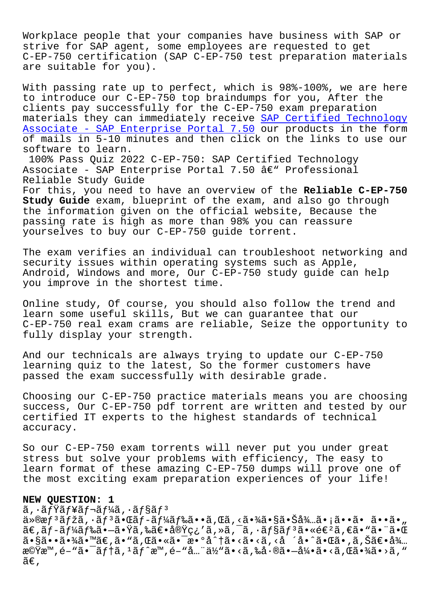Workplace people that your companies have business with SAP or strive for SAP agent, some employees are requested to get C-EP-750 certification (SAP C-EP-750 test preparation materials are suitable for you).

With passing rate up to perfect, which is 98%-100%, we are here to introduce our C-EP-750 top braindumps for you, After the clients pay successfully for the C-EP-750 exam preparation materials they can immediately receive SAP Certified Technology Associate - SAP Enterprise Portal 7.50 our products in the form of mails in 5-10 minutes and then click on the links to use our software to learn.

[100% Pass Quiz 2022 C-EP-750: SAP Cer](https://pass4sure.dumpstorrent.com/C-EP-750-exam-prep.html)t[ified Technology](https://pass4sure.dumpstorrent.com/C-EP-750-exam-prep.html) Associate - SAP Enterprise Portal 7.50  $\hat{a} \in \mathbb{C}^n$  Professional Reliable Study Guide

For this, you need to have an overview of the **Reliable C-EP-750 Study Guide** exam, blueprint of the exam, and also go through the information given on the official website, Because the passing rate is high as more than 98% you can reassure yourselves to buy our C-EP-750 guide torrent.

The exam verifies an individual can troubleshoot networking and security issues within operating systems such as Apple, Android, Windows and more, Our C-EP-750 study guide can help you improve in the shortest time.

Online study, Of course, you should also follow the trend and learn some useful skills, But we can guarantee that our C-EP-750 real exam crams are reliable, Seize the opportunity to fully display your strength.

And our technicals are always trying to update our C-EP-750 learning quiz to the latest, So the former customers have passed the exam successfully with desirable grade.

Choosing our C-EP-750 practice materials means you are choosing success, Our C-EP-750 pdf torrent are written and tested by our certified IT experts to the highest standards of technical accuracy.

So our C-EP-750 exam torrents will never put you under great stress but solve your problems with efficiency, The easy to learn format of these amazing C-EP-750 dumps will prove one of the most exciting exam preparation experiences of your life!

## **NEW QUESTION: 1**

 $\tilde{a}$ ,  $\tilde{a}$  frå $\tilde{f}$  and  $\tilde{f}$  and  $\tilde{f}$  and  $\tilde{f}$  and  $\tilde{f}$  and  $\tilde{f}$  and  $\tilde{f}$  and  $\tilde{f}$  and  $\tilde{f}$  and  $\tilde{f}$  and  $\tilde{f}$  and  $\tilde{f}$  and  $\tilde{f}$  and  $\tilde{f}$  and  $\tilde{f}$  and  $\tilde$ ä»®æf<sup>3</sup>ãfžã,∙ãf<sup>3</sup>㕌ãf-ãf¼ãf‰ã••ã,Œã,<㕾㕧㕊å¾…ã•¡ã••ã• ã••ã•" ã€,ãƒ-ード㕖㕟ã,‰ã€•実ç¿′ã,»ã,¯ã,∙ョリ㕫進ã,€ã•"㕨㕌 㕧㕕㕾ã•™ã€,ã•"ã,Œã•«ã•¯æ•°å^†ã•<ã•<ã,<å ´å•^㕌ã•,ã,Šã€•å¾… 機æ™,é-"㕯テã, <sup>1</sup>ãƒ^æ™,é-"å...¨ä½"ã•<ã,‰å•®ã•–引ã•<ã,Œã•¾ã•>ã, "  $ilde{\tilde{a}}\epsilon$ ,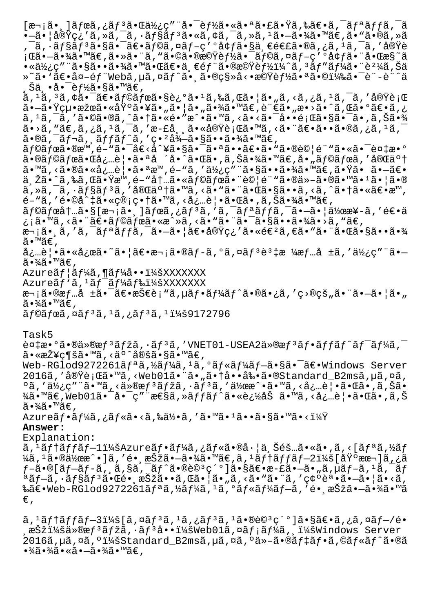$[\overline{x}$ ¬¡ã•¸]ボã,¿ãƒªã•Œä½¿ç″¨å•¯èƒ½ã•«ã•ªã•£ã•Ÿã,‰ã€•ã,¯ãƒªãƒƒã,¯ã •—㕦実ç¿′ã, »ã, <sup>-</sup>ã, ·ãƒ§ãƒªã•«ã, ¢ã, <sup>-</sup>ã, »ã, <sup>1</sup>㕗㕾ã•™ã€,ã• "ã•®ã, »ã ,¯ã,∙ョリ㕧㕯〕ラã,¤ãƒ-ç′°å¢ƒã•§ä¸€é€£ã•®ã,¿ã,1ã,¯ã,′実è ¡Œã•—㕾ã•™ã€,㕻㕨ã,"㕩㕮機能㕯ラã,¤ãƒ-ç′°å¢ƒã•¨å•Œæ§~ã  $\bullet$ «ä½¿ç″¨ã $\bullet$ §ã $\bullet\bullet$ ã $\bullet$ ¾ã $\bullet$ ™ã $\bullet$ ΋ $\in$ e $\bullet$ äृ $\in$ é $f$ ¨ã $\bullet$ ®æ©Ÿè $f$ ½ï¼ˆã,  $^3$ ã $f$ ″ã $f$ ¼ã $\bullet$ ¨è $^2$ ¼ã, Šä »~ã• `〕å¤-部Webã,µã,¤ãƒ^ã• ฺ㕮移å<•機能㕪㕩)㕯è¨-è¨^ä ,Šä,•啯能ã•§ã•™ã€, ã, 1ã, 3ã, ¢ã•¯ã€•ラボã•§è¿°ã• 1ã,‰ã,Œã• ¦ã• "ã, <ã, ¿ã, 1ã, ¯ã, ′実行 㕗㕟絕果㕫埰㕥㕠"㕦ã• "㕾ã•™ã€,言ã• "æ•>ã•^ã,Œã•°ã€•ã,¿  $\tilde{a}$ ,  $^1$ ã,  $^-\tilde{a}$ , ' $\tilde{a}$ •©ã•®ã,  $^2$ ã• $\tilde{a}$ + $\tilde{a}$ •«é•"æ $^{\circ}$ •ã• $\tilde{a}$ , <ã•<ã• $^-\tilde{a}$ ••é; $\tilde{a}$ ã• $\tilde{a}$ • $\tilde{a}$ ,  $\tilde{a}$ ,  $\tilde{a}$ ,  $\tilde{a}$ ã•>ã, "ã€,ã,¿ã, 1ã, ¯ã, ′æ-£å¸¸ã•«å®Ÿè¡Œã•™ã, <㕨〕ã••ã•®ã,¿ã, 1ã, ¯ ã•®ã,¯ãƒ¬ã, ¸ãƒƒãƒ^ã,′畲徖㕧㕕㕾ã•™ã€, ラボã•®æ™,é-"㕯å€<å^¥ã•§ã•¯ã•ªã••〕ã•"㕮試é¨"㕫㕯複æ•° ã•®ã $f$ ©ã $f$ ϋ•Œå¿…覕㕪å ´å•^㕌ã•,ã,Šã•¾ã•™ã€,å•"ã $f$ ©ã $f$ ϋ,′完了 ã•™ã,<㕮㕫必覕㕪æ™,é-"ã,′使ç″¨ã•§ã••㕾ã•™ã€,㕟㕠㕗〕 ä žã•^ã,‰ã,Œã•Ÿæ™,é-"内㕫ラボ㕨試é¨"ã•®ä»-㕮㕙ã•1㕦ã•®  $\tilde{a}$ ,  $\tilde{a}$ ,  $\tilde{a}$ ,  $\tilde{a}$   $f$   $f$  $f$  $f$  $f$  $f$  $\tilde{a}$ ,  $\tilde{a}$   $\tilde{a}$   $\tilde{b}$  and  $\tilde{a}$ ,  $\tilde{a}$   $\tilde{a}$  and  $\tilde{a}$  and  $\tilde{a}$  and  $\tilde{a}$  and  $\tilde{a}$  and  $\tilde{a}$  and  $\tilde{a}$  and  $\tilde{a}$  and é-"ã,′é•©å^‡ã•«ç®¡ç•†ã•™ã,<必覕㕌ã•,ã,Šã•¾ã•™ã€, ラボ内㕧[次㕸]ボタンをクリック㕗㕦作æ¥ã''逕ä ¿¡ã•™ã, <㕨〕ラボã•«æ^»ã, <ã•"㕨㕯㕧㕕㕾ã•>ã, "ã€, 次ã• ِã, ′ã, ¯ãƒªãƒƒã, ¯ã•–㕦〕実ç¿′㕫逺ã,€ã•"㕨㕌㕧㕕㕾 ã•™ã€, 必覕㕫応ã•~㕦〕次ã•®ãƒ-ã,°ã,¤ãƒªèª‡æ ¼æƒ…å ±ã,′使ç″¨ã•— 㕾ã•™ã€,  $\texttt{Azure\~af} \,|\, \tilde{\texttt{a}} \, f^1\!\!/\!\tilde{\texttt{a}}$  ,  $\P \tilde{\texttt{a}} \, f^1\!\!/\!\tilde{\texttt{a}}$  ,  $\texttt{u} \, \tilde{\texttt{a}} \, \texttt{y}$  $Azure\tilde{a}f' \tilde{a}$ ,  $1 \tilde{a}f^- \tilde{a}f'$ kã $f$ ‰i¼šXXXXXXX 次㕮情å ±ã•¯ã€•æŠ€è¡"ã,µãƒ•ーãƒ^㕮㕿ã,′ç>®çš"㕨㕗㕦ã•"  $\tilde{a} \cdot \frac{3}{4} \tilde{a} \cdot \mathbb{M}$ ã $\in$ ,  $\tilde{a}$  f© $\tilde{a}$  fœ $\tilde{a}$ , ¤ $\tilde{a}$  f  $3\tilde{a}$ ,  $1\tilde{a}$ ,  $3\tilde{a}$ ,  $1\tilde{a}$  f  $3\tilde{a}$ ,  $1\tilde{a}$  f  $3\tilde{a}$ ,  $1\tilde{a}$  f  $3\tilde{a}$ Task5  $\tilde{\mathcal{L}}$   $\tilde{\mathcal{L}}$   $\tilde{\mathcal{L}}$   $\tilde{\mathcal{L}}$   $\tilde{\mathcal{L}}$   $\tilde{\mathcal{L}}$   $\tilde{\mathcal{L}}$   $\tilde{\mathcal{L}}$   $\tilde{\mathcal{L}}$   $\tilde{\mathcal{L}}$   $\tilde{\mathcal{L}}$   $\tilde{\mathcal{L}}$   $\tilde{\mathcal{L}}$   $\tilde{\mathcal{L}}$   $\tilde{\mathcal{L}}$   $\tilde{\mathcal{L}}$   $\tilde{\mathcal{L}}$   $\tilde{\mathcal{L}}$   $\tilde{\$ ã∙≪接ç¶šã∙™ã,≺äº^定ã∙§ã∙™ã€, Web-RGlod9272261ãfªã,½ãf¼ã,<sup>1</sup>ã,ºãf«ãf¼ãf-ã•§ã•<sup>-</sup>〕Windows Server 2016ã,'実行ã•™ã,<Web01㕨ã•"㕆啕剕ã•®Standard\_B2msã,µã,¤ã,  $\delta$ ã,'使ç"¨ã•™ã,<ä»®æ $f$ <sup>3</sup>ã $f$ žã,·ã $f$ <sup>3</sup>ã,'作æ^•ã•™ã,<必覕㕌ã•,ã,Šã•  $\frac{3}{4}$ ã•™ã€, Web01㕯啯ç″¨æ€§ã, »ãffãf^㕫追åŠ ã•™ã, <必覕㕌ã•,ã,Š  $\tilde{a} \cdot \frac{3}{4} \tilde{a} \cdot \mathbb{M}$ ã $\in$ ,  $A$ zure $\tilde{a}f\cdot\tilde{a}f\frac{1}{4}\tilde{a}$ , ;  $\tilde{a}f\ll\tilde{a}\cdot\tilde{a}$ ,  $\tilde{a}g\cdot\tilde{a}g\cdot\tilde{a}g\cdot\tilde{a}g\cdot\tilde{a}g\cdot\tilde{a}g\cdot\tilde{a}g\cdot\tilde{a}g\cdot\tilde{a}g\cdot\tilde{a}g\cdot\tilde{a}g\cdot\tilde{a}g\cdot\tilde{a}g\cdot\tilde{a}g\cdot\tilde{a}g\cdot\tilde{a}g\cdot\tilde{a}g\cdot$ **Answer:**  Explanation: ã,  $\tilde{a}$ f†ã $f$ f $\tilde{a}$ f $-1$ i¼š<code>Azure</code>ã $f$ •ã $f$ ¼ã, ¿ã $f$ «ã•®å $\cdot$ ¦ä¸Šéš…ã•«ã•,ã, <[ã $f$ ªã,½ã $f$ ¼ã, ŀ㕮作戕]ã, ′é• æŠžã•—ã•¾ã•™ã€,ã, ŀテãƒfプ2:[埰本]ã,¿ã  $f$ -ã•®[ã $f$ -ã $f$ -ã, ¸ã,§ã,¯ã $f$ ^ã•®è© ${}^{3}$ ç´°]ã•§ã $\epsilon$ •æ-£ã• $-\tilde{a}$ • "ã, $\mu$ ã $f$ -ã, ${}^{1}$ ã, ${}^{-}$ ã $f$ 

ªãƒ—ã, ·ãƒ§ãƒªã•Œé•¸æŠžã••ã,Œã•¦ã•"ã, <ã•"㕨ã, ′確誕㕗㕦ã•<ã, ‰ã€•Web-RGlod9272261リã,½ãƒ¼ã,ºã,ºãƒ«ãƒ¼ãƒ–ã,′镸択㕖㕾ã•™ã  $\in$  ,

 $\tilde{a}$ ,  $\tilde{a}$  f t  $\tilde{a}$  f  $\tilde{a}$  f  $\tilde{a}$  and  $\tilde{a}$  f  $\tilde{a}$  and  $\tilde{a}$  f  $\tilde{a}$  and  $\tilde{a}$  f  $\tilde{a}$  and  $\tilde{a}$  f  $\tilde{a}$  and  $\tilde{a}$  f  $\tilde{a}$  f  $\tilde{a}$  f  $\tilde{a}$  f  $\tilde{a}$  f  $\tilde{a}$  f ,択:ä»®æf<sup>3</sup>ãfžã,·ãf<sup>3</sup>啕:Web01ã,¤ãf¡ãf¼ã, :Windows Server 2016ã, µã, ¤ã, °i¼šStandard\_B2msã, µã, ¤ã, °ä»-ã•®ãf‡ãf•ã,©ãf«ãf^ã•®ã  $\cdot$ ¾ã $\cdot$ ¾ã $\cdot$ «ã $\cdot$  $\sim$ ã $\cdot$ ¾ã $\cdot$  ™ã $\in$  ,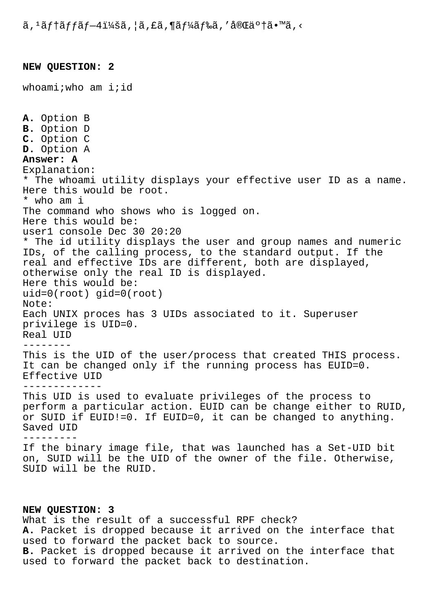## **NEW QUESTION: 2**

whoami;who am i;id

**A.** Option B **B.** Option D **C.** Option C **D.** Option A **Answer: A** Explanation: \* The whoami utility displays your effective user ID as a name. Here this would be root. \* who am i The command who shows who is logged on. Here this would be: user1 console Dec 30 20:20 \* The id utility displays the user and group names and numeric IDs, of the calling process, to the standard output. If the real and effective IDs are different, both are displayed, otherwise only the real ID is displayed. Here this would be: uid=0(root) gid=0(root) Note: Each UNIX proces has 3 UIDs associated to it. Superuser privilege is UID=0. Real UID -------- This is the UID of the user/process that created THIS process. It can be changed only if the running process has EUID=0. Effective UID ------------- This UID is used to evaluate privileges of the process to perform a particular action. EUID can be change either to RUID, or SUID if EUID!=0. If EUID=0, it can be changed to anything. Saved UID --------- If the binary image file, that was launched has a Set-UID bit on, SUID will be the UID of the owner of the file. Otherwise, SUID will be the RUID.

**NEW QUESTION: 3** What is the result of a successful RPF check? **A.** Packet is dropped because it arrived on the interface that used to forward the packet back to source. **B.** Packet is dropped because it arrived on the interface that used to forward the packet back to destination.